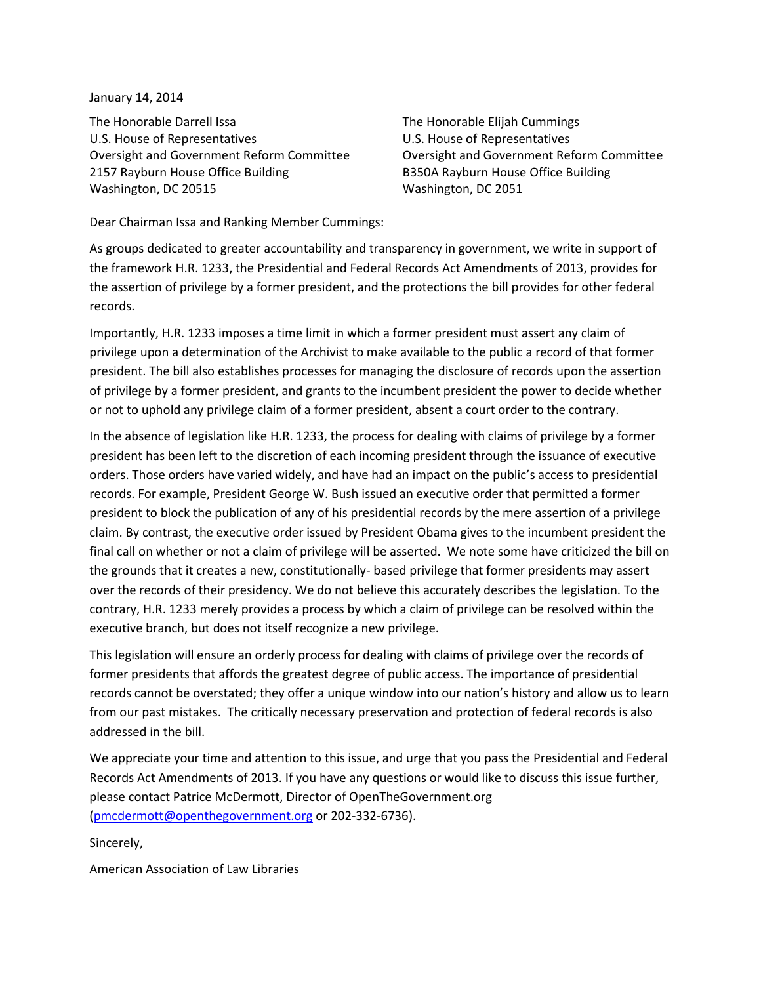January 14, 2014

The Honorable Darrell Issa U.S. House of Representatives Oversight and Government Reform Committee 2157 Rayburn House Office Building Washington, DC 20515

The Honorable Elijah Cummings U.S. House of Representatives Oversight and Government Reform Committee B350A Rayburn House Office Building Washington, DC 2051

Dear Chairman Issa and Ranking Member Cummings:

As groups dedicated to greater accountability and transparency in government, we write in support of the framework H.R. 1233, the Presidential and Federal Records Act Amendments of 2013, provides for the assertion of privilege by a former president, and the protections the bill provides for other federal records.

Importantly, H.R. 1233 imposes a time limit in which a former president must assert any claim of privilege upon a determination of the Archivist to make available to the public a record of that former president. The bill also establishes processes for managing the disclosure of records upon the assertion of privilege by a former president, and grants to the incumbent president the power to decide whether or not to uphold any privilege claim of a former president, absent a court order to the contrary.

In the absence of legislation like H.R. 1233, the process for dealing with claims of privilege by a former president has been left to the discretion of each incoming president through the issuance of executive orders. Those orders have varied widely, and have had an impact on the public's access to presidential records. For example, President George W. Bush issued an executive order that permitted a former president to block the publication of any of his presidential records by the mere assertion of a privilege claim. By contrast, the executive order issued by President Obama gives to the incumbent president the final call on whether or not a claim of privilege will be asserted. We note some have criticized the bill on the grounds that it creates a new, constitutionally- based privilege that former presidents may assert over the records of their presidency. We do not believe this accurately describes the legislation. To the contrary, H.R. 1233 merely provides a process by which a claim of privilege can be resolved within the executive branch, but does not itself recognize a new privilege.

This legislation will ensure an orderly process for dealing with claims of privilege over the records of former presidents that affords the greatest degree of public access. The importance of presidential records cannot be overstated; they offer a unique window into our nation's history and allow us to learn from our past mistakes. The critically necessary preservation and protection of federal records is also addressed in the bill.

We appreciate your time and attention to this issue, and urge that you pass the Presidential and Federal Records Act Amendments of 2013. If you have any questions or would like to discuss this issue further, please contact Patrice McDermott, Director of OpenTheGovernment.org [\(pmcdermott@openthegovernment.org](mailto:pmcdermott@openthegovernment.org) or 202-332-6736).

Sincerely,

American Association of Law Libraries